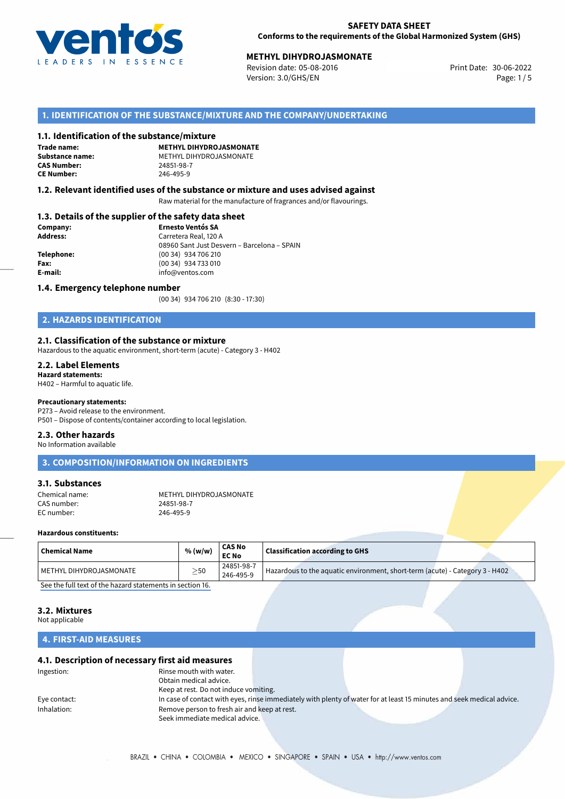

# **30-06-2022 METHYL DIHYDROJASMONATE**<br>30-06-2022 Revision date: 05-08-2016

Revision date: 05-08-2016 Version: 3.0/GHS/EN Page: 1/5

# **1. IDENTIFICATION OF THE SUBSTANCE/MIXTURE AND THE COMPANY/UNDERTAKING**

### **1.1. Identification of the substance/mixture**

**Trade name: CAS Number: CE Number:** 246-495-9

**METHYL DIHYDROJASMONATE Substance name:** METHYL DIHYDROJASMONATE

# **1.2. Relevant identified uses of the substance or mixture and uses advised against**

Raw material for the manufacture of fragrances and/or flavourings.

# **1.3. Details of the supplier of the safety data sheet**

| Company:   | <b>Ernesto Ventós SA</b>                    |
|------------|---------------------------------------------|
| Address:   | Carretera Real, 120 A                       |
|            | 08960 Sant Just Desvern - Barcelona - SPAIN |
| Telephone: | (00 34) 934 706 210                         |
| Fax:       | (00 34) 934 733 010                         |
| E-mail:    | info@ventos.com                             |
|            |                                             |

### **1.4. Emergency telephone number**

(00 34) 934 706 210 (8:30 - 17:30)

# **2. HAZARDS IDENTIFICATION**

### **2.1. Classification of the substance or mixture**

Hazardous to the aquatic environment, short-term (acute) - Category 3 - H402

# **2.2. Label Elements**

**Hazard statements:** H402 – Harmful to aquatic life.

# **Precautionary statements:**

P273 – Avoid release to the environment.

P501 – Dispose of contents/container according to local legislation.

#### **2.3. Other hazards**

No Information available

# **3. COMPOSITION/INFORMATION ON INGREDIENTS**

### **3.1. Substances**

Chemical name: METHYL DIHYDROJASMONATE<br>CAS number: 24851-98-7 CAS number: 24851-98-7<br>
FC number: 246-495-9 EC number:

### **Hazardous constituents:**

| $\mid$ Chemical Name    | % (w/w)   | <b>CAS No</b><br><b>EC No</b> | <b>Classification according to GHS</b>                                       |
|-------------------------|-----------|-------------------------------|------------------------------------------------------------------------------|
| METHYL DIHYDROJASMONATE | $\geq$ 50 | 24851-98-7<br>246-495-9       | Hazardous to the aquatic environment, short-term (acute) - Category 3 - H402 |
|                         |           |                               |                                                                              |

[See the full text of the hazard statements in section 16.](#page--1-0)

# **3.2. Mixtures**

Not applicable

# **4. FIRST-AID MEASURES**

# **4.1. Description of necessary first aid measures**

| Ingestion:   | Rinse mouth with water.                      |                                                                                                                       |  |
|--------------|----------------------------------------------|-----------------------------------------------------------------------------------------------------------------------|--|
|              | Obtain medical advice.                       |                                                                                                                       |  |
|              | Keep at rest. Do not induce vomiting.        |                                                                                                                       |  |
| Eye contact: |                                              | In case of contact with eyes, rinse immediately with plenty of water for at least 15 minutes and seek medical advice. |  |
| Inhalation:  | Remove person to fresh air and keep at rest. |                                                                                                                       |  |
|              | Seek immediate medical advice.               |                                                                                                                       |  |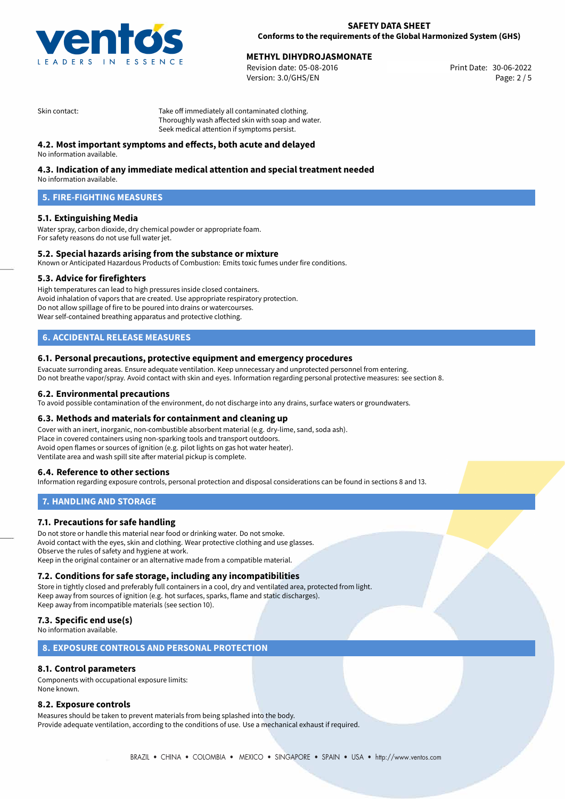

# **METHYL DIHYDROJASMONATE**<br>30-06-2022 Revision date: 05-08-2016

Revision date: 05-08-2016 Version: 3.0/GHS/EN Page: 2 / 5

Skin contact: Take off immediately all contaminated clothing. Thoroughly wash affected skin with soap and water. Seek medical attention if symptoms persist.

# **4.2. Most important symptoms and effects, both acute and delayed**

No information available.

# **4.3. Indication of any immediate medical attention and special treatment needed**

No information available.

# **5. FIRE-FIGHTING MEASURES**

# **5.1. Extinguishing Media**

Water spray, carbon dioxide, dry chemical powder or appropriate foam. For safety reasons do not use full water jet.

# **5.2. Special hazards arising from the substance or mixture**

Known or Anticipated Hazardous Products of Combustion: Emits toxic fumes under fire conditions.

# **5.3. Advice for firefighters**

High temperatures can lead to high pressures inside closed containers. Avoid inhalation of vapors that are created. Use appropriate respiratory protection. Do not allow spillage of fire to be poured into drains or watercourses. Wear self-contained breathing apparatus and protective clothing.

# **6. ACCIDENTAL RELEASE MEASURES**

### **6.1. Personal precautions, protective equipment and emergency procedures**

Evacuate surronding areas. Ensure adequate ventilation. Keep unnecessary and unprotected personnel from entering. Do not breathe vapor/spray. Avoid contact with skin and eyes. Information regarding personal protective measures: see section 8.

### **6.2. Environmental precautions**

To avoid possible contamination of the environment, do not discharge into any drains, surface waters or groundwaters.

### **6.3. Methods and materials for containment and cleaning up**

Cover with an inert, inorganic, non-combustible absorbent material (e.g. dry-lime, sand, soda ash). Place in covered containers using non-sparking tools and transport outdoors. Avoid open flames or sources of ignition (e.g. pilot lights on gas hot water heater). Ventilate area and wash spill site after material pickup is complete.

# **6.4. Reference to other sections**

Information regarding exposure controls, personal protection and disposal considerations can be found in sections 8 and 13.

# **7. HANDLING AND STORAGE**

# **7.1. Precautions for safe handling**

Do not store or handle this material near food or drinking water. Do not smoke. Avoid contact with the eyes, skin and clothing. Wear protective clothing and use glasses. Observe the rules of safety and hygiene at work. Keep in the original container or an alternative made from a compatible material.

# **7.2. Conditions for safe storage, including any incompatibilities**

Store in tightly closed and preferably full containers in a cool, dry and ventilated area, protected from light. Keep away from sources of ignition (e.g. hot surfaces, sparks, flame and static discharges). Keep away from incompatible materials (see section 10).

# **7.3. Specific end use(s)**

No information available.

# **8. EXPOSURE CONTROLS AND PERSONAL PROTECTION**

# **8.1. Control parameters**

Components with occupational exposure limits: None known.

# **8.2. Exposure controls**

Measures should be taken to prevent materials from being splashed into the body. Provide adequate ventilation, according to the conditions of use. Use a mechanical exhaust if required.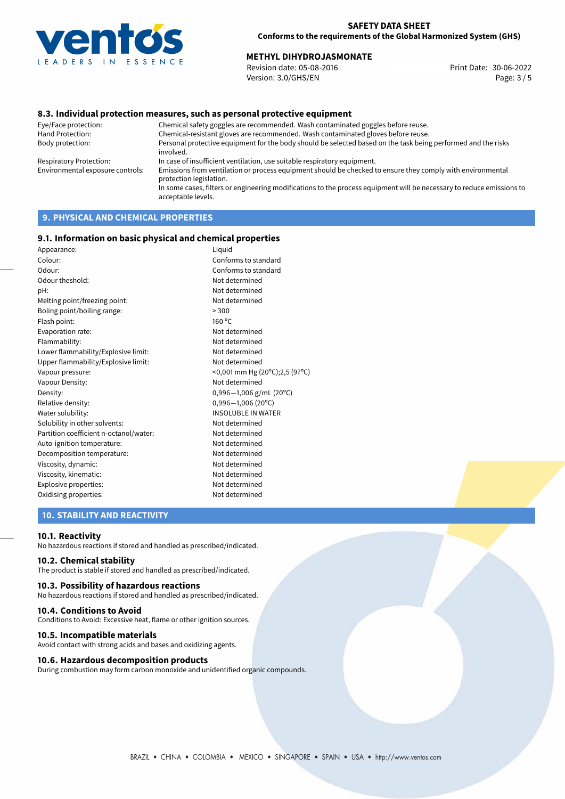

# **METHYL DIHYDROJASMONATE**<br>30-06-2022 Revision date: 05-08-2016

Revision date: 05-08-2016 Version: 3.0/GHS/EN Page: 3 / 5

# **8.3. Individual protection measures, such as personal protective equipment**

Eye/Face protection: Chemical safety goggles are recommended. Wash contaminated goggles before reuse. Chemical-resistant gloves are recommended. Wash contaminated gloves before reuse. Body protection: Personal protective equipment for the body should be selected based on the task being performed and the risks involved. Respiratory Protection: In case of insufficient ventilation, use suitable respiratory equipment. Environmental exposure controls: Emissions from ventilation or process equipment should be checked to ensure they comply with environmental protection legislation. In some cases, filters or engineering modifications to the process equipment will be necessary to reduce emissions to acceptable levels.

# **9. PHYSICAL AND CHEMICAL PROPERTIES**

### **9.1. Information on basic physical and chemical properties**

| Appearance:                            | Liquid                         |
|----------------------------------------|--------------------------------|
| Colour:                                | Conforms to standard           |
| Odour:                                 | Conforms to standard           |
| Odour theshold:                        | Not determined                 |
| pH:                                    | Not determined                 |
| Melting point/freezing point:          | Not determined                 |
| Boling point/boiling range:            | > 300                          |
| Flash point:                           | 160 °C                         |
| Evaporation rate:                      | Not determined                 |
| Flammability:                          | Not determined                 |
| Lower flammability/Explosive limit:    | Not determined                 |
| Upper flammability/Explosive limit:    | Not determined                 |
| Vapour pressure:                       | <0,001 mm Hg (20°C);2,5 (97°C) |
| Vapour Density:                        | Not determined                 |
| Density:                               | $0,996-1,006$ g/mL (20°C)      |
| Relative density:                      | $0,996 - 1,006$ (20°C)         |
| Water solubility:                      | <b>INSOLUBLE IN WATER</b>      |
| Solubility in other solvents:          | Not determined                 |
| Partition coefficient n-octanol/water: | Not determined                 |
| Auto-ignition temperature:             | Not determined                 |
| Decomposition temperature:             | Not determined                 |
| Viscosity, dynamic:                    | Not determined                 |
| Viscosity, kinematic:                  | Not determined                 |
| Explosive properties:                  | Not determined                 |
| Oxidising properties:                  | Not determined                 |

# **10. STABILITY AND REACTIVITY**

### **10.1. Reactivity**

No hazardous reactions if stored and handled as prescribed/indicated.

# **10.2. Chemical stability**

The product is stable if stored and handled as prescribed/indicated.

#### **10.3. Possibility of hazardous reactions**

No hazardous reactions if stored and handled as prescribed/indicated.

#### **10.4. Conditions to Avoid**

Conditions to Avoid: Excessive heat, flame or other ignition sources.

### **10.5. Incompatible materials**

Avoid contact with strong acids and bases and oxidizing agents.

### **10.6. Hazardous decomposition products**

During combustion may form carbon monoxide and unidentified organic compounds.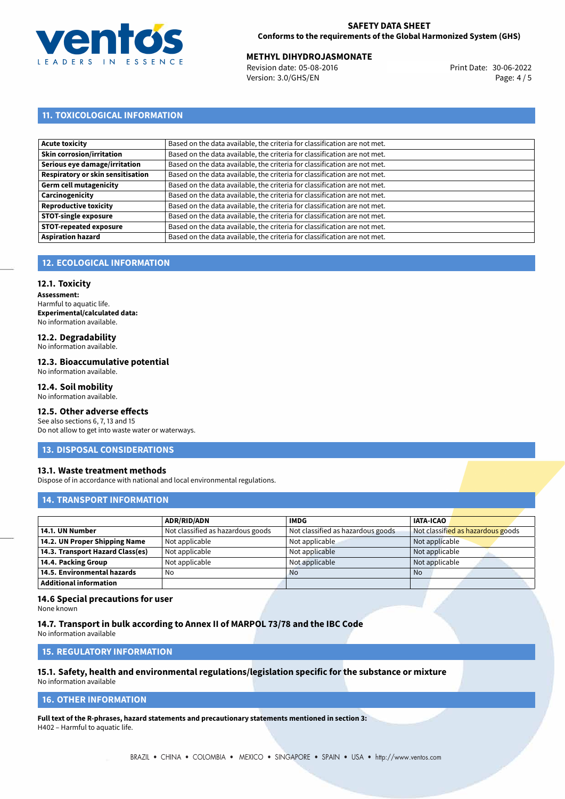

# **SAFETY DATA SHEET Conforms to the requirements of the Global Harmonized System (GHS)**

# **METHYL DIHYDROJASMONATE**<br>30-06-2022 Revision date: 05-08-2016

Revision date: 05-08-2016 Version: 3.0/GHS/EN Page: 4 / 5

# **11. TOXICOLOGICAL INFORMATION**

| Based on the data available, the criteria for classification are not met. |
|---------------------------------------------------------------------------|
| Based on the data available, the criteria for classification are not met. |
| Based on the data available, the criteria for classification are not met. |
| Based on the data available, the criteria for classification are not met. |
| Based on the data available, the criteria for classification are not met. |
| Based on the data available, the criteria for classification are not met. |
| Based on the data available, the criteria for classification are not met. |
| Based on the data available, the criteria for classification are not met. |
| Based on the data available, the criteria for classification are not met. |
| Based on the data available, the criteria for classification are not met. |
|                                                                           |

# **12. ECOLOGICAL INFORMATION**

### **12.1. Toxicity**

**Assessment:** Harmful to aquatic life. **Experimental/calculated data:** No information available.

# **12.2. Degradability**

No information available.

# **12.3. Bioaccumulative potential**

No information available.

# **12.4. Soil mobility**

No information available.

# **12.5. Other adverse effects**

See also sections 6, 7, 13 and 15 Do not allow to get into waste water or waterways.

# **13. DISPOSAL CONSIDERATIONS**

# **13.1. Waste treatment methods**

Dispose of in accordance with national and local environmental regulations.

# **14. TRANSPORT INFORMATION**

|                                  | <b>ADR/RID/ADN</b>                | <b>IMDG</b>                       | <b>IATA-ICAO</b>                  |
|----------------------------------|-----------------------------------|-----------------------------------|-----------------------------------|
| 14.1. UN Number                  | Not classified as hazardous goods | Not classified as hazardous goods | Not classified as hazardous goods |
| 14.2. UN Proper Shipping Name    | Not applicable                    | Not applicable                    | Not applicable                    |
| 14.3. Transport Hazard Class(es) | Not applicable                    | Not applicable                    | Not applicable                    |
| 14.4. Packing Group              | Not applicable                    | Not applicable                    | Not applicable                    |
| 14.5. Environmental hazards      | No                                | <b>No</b>                         | <b>No</b>                         |
| <b>Additional information</b>    |                                   |                                   |                                   |

# **14.6 Special precautions for user**

None known

# **14.7. Transport in bulk according to Annex II of MARPOL 73/78 and the IBC Code**

No information available

# **15. REGULATORY INFORMATION**

# **15.1. Safety, health and environmental regulations/legislation specific for the substance or mixture**

No information available

# **16. OTHER INFORMATION**

**Full text of the R-phrases, hazard statements and precautionary statements mentioned in section 3:** H402 – Harmful to aquatic life.